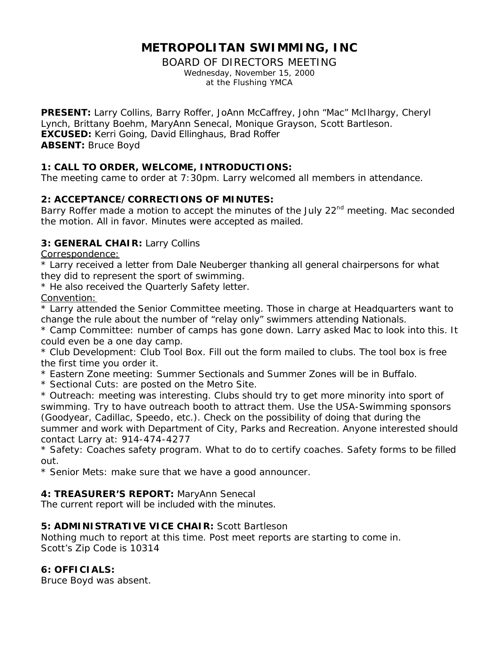# **METROPOLITAN SWIMMING, INC**

BOARD OF DIRECTORS MEETING Wednesday, November 15, 2000 at the Flushing YMCA

**PRESENT:** Larry Collins, Barry Roffer, JoAnn McCaffrey, John "Mac" McIlhargy, Cheryl Lynch, Brittany Boehm, MaryAnn Senecal, Monique Grayson, Scott Bartleson. **EXCUSED:** Kerri Going, David Ellinghaus, Brad Roffer **ABSENT:** Bruce Boyd

## **1: CALL TO ORDER, WELCOME, INTRODUCTIONS:**

The meeting came to order at 7:30pm. Larry welcomed all members in attendance.

# **2: ACCEPTANCE/CORRECTIONS OF MINUTES:**

Barry Roffer made a motion to accept the minutes of the July 22<sup>nd</sup> meeting. Mac seconded the motion. All in favor. Minutes were accepted as mailed.

## **3: GENERAL CHAIR:** Larry Collins

Correspondence:

\* Larry received a letter from Dale Neuberger thanking all general chairpersons for what they did to represent the sport of swimming.

\* He also received the Quarterly Safety letter.

Convention:

\* Larry attended the Senior Committee meeting. Those in charge at Headquarters want to change the rule about the number of "relay only" swimmers attending Nationals.

\* Camp Committee: number of camps has gone down. Larry asked Mac to look into this. It could even be a one day camp.

\* Club Development: Club Tool Box. Fill out the form mailed to clubs. The tool box is free the first time you order it.

\* Eastern Zone meeting: Summer Sectionals and Summer Zones will be in Buffalo.

\* Sectional Cuts: are posted on the Metro Site.

\* Outreach: meeting was interesting. Clubs should try to get more minority into sport of swimming. Try to have outreach booth to attract them. Use the USA-Swimming sponsors (Goodyear, Cadillac, Speedo, etc.). Check on the possibility of doing that during the summer and work with Department of City, Parks and Recreation. Anyone interested should contact Larry at: 914-474-4277

\* Safety: Coaches safety program. What to do to certify coaches. Safety forms to be filled out.

\* Senior Mets: make sure that we have a good announcer.

#### **4: TREASURER'S REPORT:** MaryAnn Senecal

The current report will be included with the minutes.

## **5: ADMINISTRATIVE VICE CHAIR:** Scott Bartleson

Nothing much to report at this time. Post meet reports are starting to come in. Scott's Zip Code is 10314

## **6: OFFICIALS:**

Bruce Boyd was absent.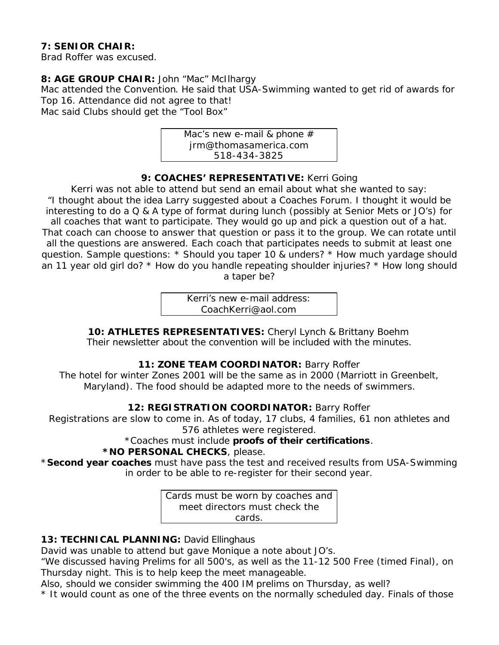#### **7: SENIOR CHAIR:**

Brad Roffer was excused.

#### **8: AGE GROUP CHAIR:** John "Mac" McIlhargy

Mac attended the Convention. He said that USA-Swimming wanted to get rid of awards for Top 16. Attendance did not agree to that!

Mac said Clubs should get the "Tool Box"



#### 9: COACHES' REPRESENTATIVE: Kerri Going

Kerri was not able to attend but send an email about what she wanted to say: "I thought about the idea Larry suggested about a Coaches Forum. I thought it would be interesting to do a Q & A type of format during lunch (possibly at Senior Mets or JO's) for all coaches that want to participate. They would go up and pick a question out of a hat. That coach can choose to answer that question or pass it to the group. We can rotate until all the questions are answered. Each coach that participates needs to submit at least one question. Sample questions: \* Should you taper 10 & unders? \* How much yardage should an 11 year old girl do? \* How do you handle repeating shoulder injuries? \* How long should a taper be?

> Kerri's new e-mail address: CoachKerri@aol.com

**10: ATHLETES REPRESENTATIVES:** Cheryl Lynch & Brittany Boehm Their newsletter about the convention will be included with the minutes.

#### **11: ZONE TEAM COORDINATOR:** Barry Roffer

The hotel for winter Zones 2001 will be the same as in 2000 (Marriott in Greenbelt, Maryland). The food should be adapted more to the needs of swimmers.

#### **12: REGISTRATION COORDINATOR:** Barry Roffer

Registrations are slow to come in. As of today, 17 clubs, 4 families, 61 non athletes and 576 athletes were registered.

# \*Coaches must include **proofs of their certifications**.

#### **\*NO PERSONAL CHECKS**, please.

\***Second year coaches** must have pass the test and received results from USA-Swimming in order to be able to re-register for their second year.

> Cards must be worn by coaches and meet directors must check the cards.

#### 13: TECHNICAL PLANNING: David Ellinghaus

David was unable to attend but gave Monique a note about JO's.

"We discussed having Prelims for all 500's, as well as the 11-12 500 Free (timed Final), on Thursday night. This is to help keep the meet manageable.

Also, should we consider swimming the 400 IM prelims on Thursday, as well?

\* It would count as one of the three events on the normally scheduled day. Finals of those